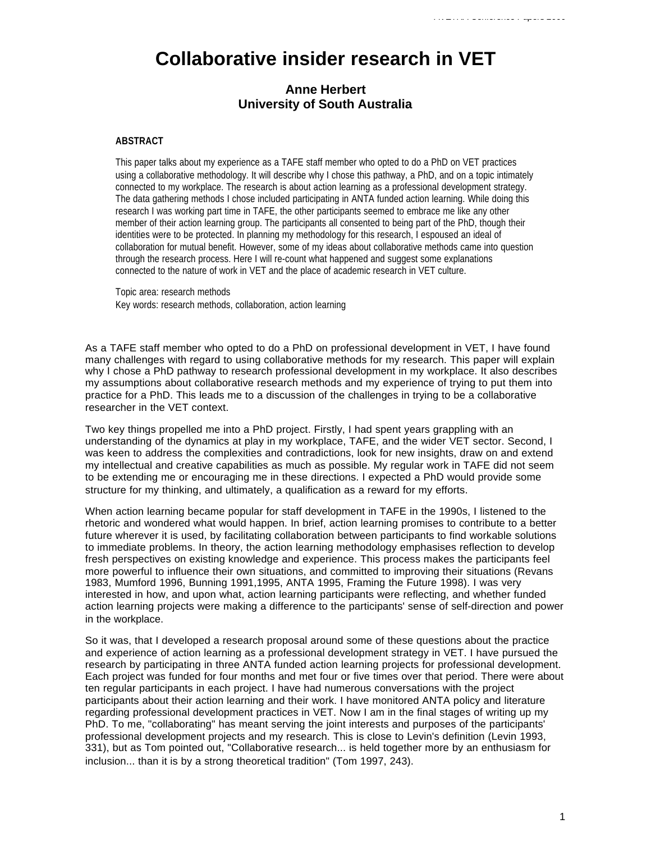## **Collaborative insider research in VET**

## **Anne Herbert University of South Australia**

## **ABSTRACT**

This paper talks about my experience as a TAFE staff member who opted to do a PhD on VET practices using a collaborative methodology. It will describe why I chose this pathway, a PhD, and on a topic intimately connected to my workplace. The research is about action learning as a professional development strategy. The data gathering methods I chose included participating in ANTA funded action learning. While doing this research I was working part time in TAFE, the other participants seemed to embrace me like any other member of their action learning group. The participants all consented to being part of the PhD, though their identities were to be protected. In planning my methodology for this research, I espoused an ideal of collaboration for mutual benefit. However, some of my ideas about collaborative methods came into question through the research process. Here I will re-count what happened and suggest some explanations connected to the nature of work in VET and the place of academic research in VET culture.

Topic area: research methods Key words: research methods, collaboration, action learning

As a TAFE staff member who opted to do a PhD on professional development in VET, I have found many challenges with regard to using collaborative methods for my research. This paper will explain why I chose a PhD pathway to research professional development in my workplace. It also describes my assumptions about collaborative research methods and my experience of trying to put them into practice for a PhD. This leads me to a discussion of the challenges in trying to be a collaborative researcher in the VET context.

Two key things propelled me into a PhD project. Firstly, I had spent years grappling with an understanding of the dynamics at play in my workplace, TAFE, and the wider VET sector. Second, I was keen to address the complexities and contradictions, look for new insights, draw on and extend my intellectual and creative capabilities as much as possible. My regular work in TAFE did not seem to be extending me or encouraging me in these directions. I expected a PhD would provide some structure for my thinking, and ultimately, a qualification as a reward for my efforts.

When action learning became popular for staff development in TAFE in the 1990s, I listened to the rhetoric and wondered what would happen. In brief, action learning promises to contribute to a better future wherever it is used, by facilitating collaboration between participants to find workable solutions to immediate problems. In theory, the action learning methodology emphasises reflection to develop fresh perspectives on existing knowledge and experience. This process makes the participants feel more powerful to influence their own situations, and committed to improving their situations (Revans 1983, Mumford 1996, Bunning 1991,1995, ANTA 1995, Framing the Future 1998). I was very interested in how, and upon what, action learning participants were reflecting, and whether funded action learning projects were making a difference to the participants' sense of self-direction and power in the workplace.

So it was, that I developed a research proposal around some of these questions about the practice and experience of action learning as a professional development strategy in VET. I have pursued the research by participating in three ANTA funded action learning projects for professional development. Each project was funded for four months and met four or five times over that period. There were about ten regular participants in each project. I have had numerous conversations with the project participants about their action learning and their work. I have monitored ANTA policy and literature regarding professional development practices in VET. Now I am in the final stages of writing up my PhD. To me, "collaborating" has meant serving the joint interests and purposes of the participants' professional development projects and my research. This is close to Levin's definition (Levin 1993, 331), but as Tom pointed out, "Collaborative research... is held together more by an enthusiasm for inclusion... than it is by a strong theoretical tradition" (Tom 1997, 243).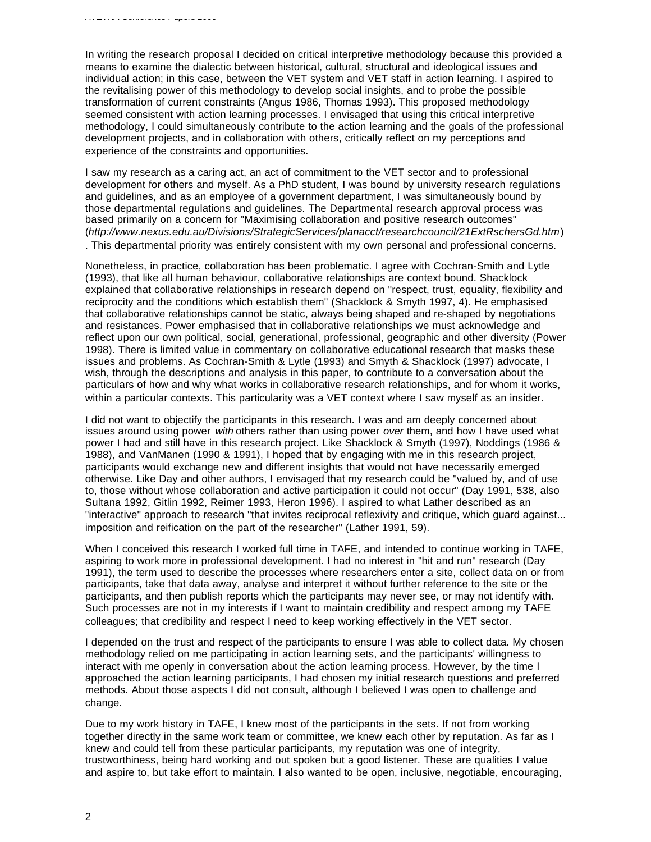In writing the research proposal I decided on critical interpretive methodology because this provided a means to examine the dialectic between historical, cultural, structural and ideological issues and individual action; in this case, between the VET system and VET staff in action learning. I aspired to the revitalising power of this methodology to develop social insights, and to probe the possible transformation of current constraints (Angus 1986, Thomas 1993). This proposed methodology seemed consistent with action learning processes. I envisaged that using this critical interpretive methodology, I could simultaneously contribute to the action learning and the goals of the professional development projects, and in collaboration with others, critically reflect on my perceptions and experience of the constraints and opportunities.

I saw my research as a caring act, an act of commitment to the VET sector and to professional development for others and myself. As a PhD student, I was bound by university research regulations and guidelines, and as an employee of a government department, I was simultaneously bound by those departmental regulations and guidelines. The Departmental research approval process was based primarily on a concern for "Maximising collaboration and positive research outcomes" (*http://www.nexus.edu.au/Divisions/StrategicServices/planacct/researchcouncil/21ExtRschersGd.htm*) . This departmental priority was entirely consistent with my own personal and professional concerns.

Nonetheless, in practice, collaboration has been problematic. I agree with Cochran-Smith and Lytle (1993), that like all human behaviour, collaborative relationships are context bound. Shacklock explained that collaborative relationships in research depend on "respect, trust, equality, flexibility and reciprocity and the conditions which establish them" (Shacklock & Smyth 1997, 4). He emphasised that collaborative relationships cannot be static, always being shaped and re-shaped by negotiations and resistances. Power emphasised that in collaborative relationships we must acknowledge and reflect upon our own political, social, generational, professional, geographic and other diversity (Power 1998). There is limited value in commentary on collaborative educational research that masks these issues and problems. As Cochran-Smith & Lytle (1993) and Smyth & Shacklock (1997) advocate, I wish, through the descriptions and analysis in this paper, to contribute to a conversation about the particulars of how and why what works in collaborative research relationships, and for whom it works, within a particular contexts. This particularity was a VET context where I saw myself as an insider.

I did not want to objectify the participants in this research. I was and am deeply concerned about issues around using power *with* others rather than using power *over* them, and how I have used what power I had and still have in this research project. Like Shacklock & Smyth (1997), Noddings (1986 & 1988), and VanManen (1990 & 1991), I hoped that by engaging with me in this research project, participants would exchange new and different insights that would not have necessarily emerged otherwise. Like Day and other authors, I envisaged that my research could be "valued by, and of use to, those without whose collaboration and active participation it could not occur" (Day 1991, 538, also Sultana 1992, Gitlin 1992, Reimer 1993, Heron 1996). I aspired to what Lather described as an "interactive" approach to research "that invites reciprocal reflexivity and critique, which guard against... imposition and reification on the part of the researcher" (Lather 1991, 59).

When I conceived this research I worked full time in TAFE, and intended to continue working in TAFE, aspiring to work more in professional development. I had no interest in "hit and run" research (Day 1991), the term used to describe the processes where researchers enter a site, collect data on or from participants, take that data away, analyse and interpret it without further reference to the site or the participants, and then publish reports which the participants may never see, or may not identify with. Such processes are not in my interests if I want to maintain credibility and respect among my TAFE colleagues; that credibility and respect I need to keep working effectively in the VET sector.

I depended on the trust and respect of the participants to ensure I was able to collect data. My chosen methodology relied on me participating in action learning sets, and the participants' willingness to interact with me openly in conversation about the action learning process. However, by the time I approached the action learning participants, I had chosen my initial research questions and preferred methods. About those aspects I did not consult, although I believed I was open to challenge and change.

Due to my work history in TAFE, I knew most of the participants in the sets. If not from working together directly in the same work team or committee, we knew each other by reputation. As far as I knew and could tell from these particular participants, my reputation was one of integrity, trustworthiness, being hard working and out spoken but a good listener. These are qualities I value and aspire to, but take effort to maintain. I also wanted to be open, inclusive, negotiable, encouraging,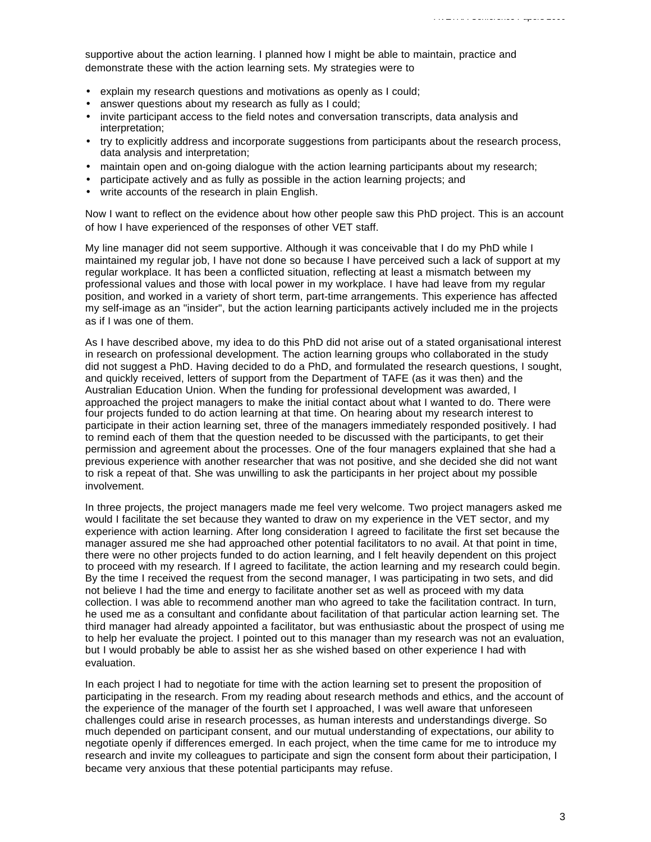supportive about the action learning. I planned how I might be able to maintain, practice and demonstrate these with the action learning sets. My strategies were to

- explain my research questions and motivations as openly as I could;
- answer questions about my research as fully as I could;
- invite participant access to the field notes and conversation transcripts, data analysis and interpretation;
- try to explicitly address and incorporate suggestions from participants about the research process, data analysis and interpretation;
- maintain open and on-going dialogue with the action learning participants about my research;
- participate actively and as fully as possible in the action learning projects; and
- write accounts of the research in plain English.

Now I want to reflect on the evidence about how other people saw this PhD project. This is an account of how I have experienced of the responses of other VET staff.

My line manager did not seem supportive. Although it was conceivable that I do my PhD while I maintained my regular job, I have not done so because I have perceived such a lack of support at my regular workplace. It has been a conflicted situation, reflecting at least a mismatch between my professional values and those with local power in my workplace. I have had leave from my regular position, and worked in a variety of short term, part-time arrangements. This experience has affected my self-image as an "insider", but the action learning participants actively included me in the projects as if I was one of them.

As I have described above, my idea to do this PhD did not arise out of a stated organisational interest in research on professional development. The action learning groups who collaborated in the study did not suggest a PhD. Having decided to do a PhD, and formulated the research questions, I sought, and quickly received, letters of support from the Department of TAFE (as it was then) and the Australian Education Union. When the funding for professional development was awarded, I approached the project managers to make the initial contact about what I wanted to do. There were four projects funded to do action learning at that time. On hearing about my research interest to participate in their action learning set, three of the managers immediately responded positively. I had to remind each of them that the question needed to be discussed with the participants, to get their permission and agreement about the processes. One of the four managers explained that she had a previous experience with another researcher that was not positive, and she decided she did not want to risk a repeat of that. She was unwilling to ask the participants in her project about my possible involvement.

In three projects, the project managers made me feel very welcome. Two project managers asked me would I facilitate the set because they wanted to draw on my experience in the VET sector, and my experience with action learning. After long consideration I agreed to facilitate the first set because the manager assured me she had approached other potential facilitators to no avail. At that point in time, there were no other projects funded to do action learning, and I felt heavily dependent on this project to proceed with my research. If I agreed to facilitate, the action learning and my research could begin. By the time I received the request from the second manager, I was participating in two sets, and did not believe I had the time and energy to facilitate another set as well as proceed with my data collection. I was able to recommend another man who agreed to take the facilitation contract. In turn, he used me as a consultant and confidante about facilitation of that particular action learning set. The third manager had already appointed a facilitator, but was enthusiastic about the prospect of using me to help her evaluate the project. I pointed out to this manager than my research was not an evaluation, but I would probably be able to assist her as she wished based on other experience I had with evaluation.

In each project I had to negotiate for time with the action learning set to present the proposition of participating in the research. From my reading about research methods and ethics, and the account of the experience of the manager of the fourth set I approached, I was well aware that unforeseen challenges could arise in research processes, as human interests and understandings diverge. So much depended on participant consent, and our mutual understanding of expectations, our ability to negotiate openly if differences emerged. In each project, when the time came for me to introduce my research and invite my colleagues to participate and sign the consent form about their participation, I became very anxious that these potential participants may refuse.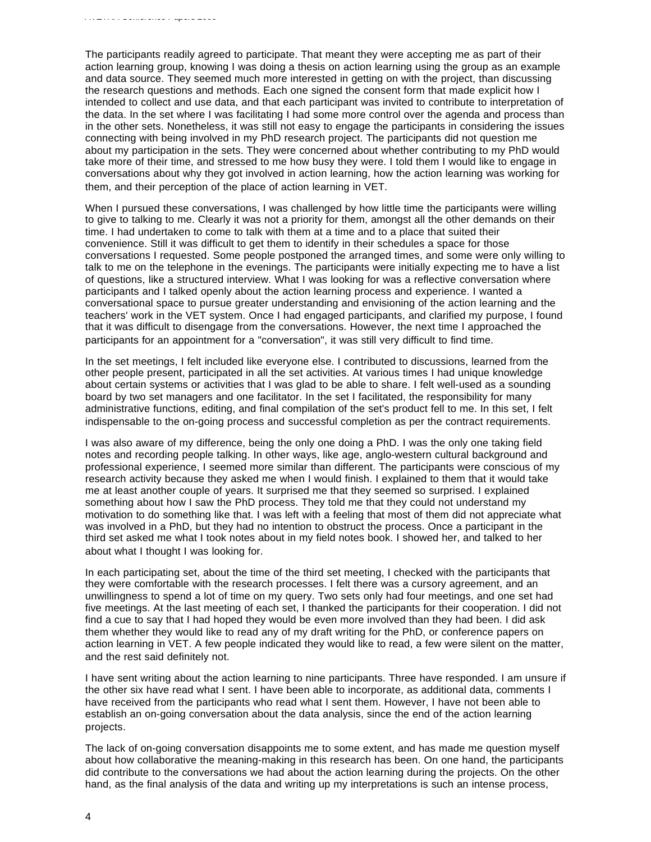The participants readily agreed to participate. That meant they were accepting me as part of their action learning group, knowing I was doing a thesis on action learning using the group as an example and data source. They seemed much more interested in getting on with the project, than discussing the research questions and methods. Each one signed the consent form that made explicit how I intended to collect and use data, and that each participant was invited to contribute to interpretation of the data. In the set where I was facilitating I had some more control over the agenda and process than in the other sets. Nonetheless, it was still not easy to engage the participants in considering the issues connecting with being involved in my PhD research project. The participants did not question me about my participation in the sets. They were concerned about whether contributing to my PhD would take more of their time, and stressed to me how busy they were. I told them I would like to engage in conversations about why they got involved in action learning, how the action learning was working for them, and their perception of the place of action learning in VET.

When I pursued these conversations, I was challenged by how little time the participants were willing to give to talking to me. Clearly it was not a priority for them, amongst all the other demands on their time. I had undertaken to come to talk with them at a time and to a place that suited their convenience. Still it was difficult to get them to identify in their schedules a space for those conversations I requested. Some people postponed the arranged times, and some were only willing to talk to me on the telephone in the evenings. The participants were initially expecting me to have a list of questions, like a structured interview. What I was looking for was a reflective conversation where participants and I talked openly about the action learning process and experience. I wanted a conversational space to pursue greater understanding and envisioning of the action learning and the teachers' work in the VET system. Once I had engaged participants, and clarified my purpose, I found that it was difficult to disengage from the conversations. However, the next time I approached the participants for an appointment for a "conversation", it was still very difficult to find time.

In the set meetings, I felt included like everyone else. I contributed to discussions, learned from the other people present, participated in all the set activities. At various times I had unique knowledge about certain systems or activities that I was glad to be able to share. I felt well-used as a sounding board by two set managers and one facilitator. In the set I facilitated, the responsibility for many administrative functions, editing, and final compilation of the set's product fell to me. In this set, I felt indispensable to the on-going process and successful completion as per the contract requirements.

I was also aware of my difference, being the only one doing a PhD. I was the only one taking field notes and recording people talking. In other ways, like age, anglo-western cultural background and professional experience, I seemed more similar than different. The participants were conscious of my research activity because they asked me when I would finish. I explained to them that it would take me at least another couple of years. It surprised me that they seemed so surprised. I explained something about how I saw the PhD process. They told me that they could not understand my motivation to do something like that. I was left with a feeling that most of them did not appreciate what was involved in a PhD, but they had no intention to obstruct the process. Once a participant in the third set asked me what I took notes about in my field notes book. I showed her, and talked to her about what I thought I was looking for.

In each participating set, about the time of the third set meeting, I checked with the participants that they were comfortable with the research processes. I felt there was a cursory agreement, and an unwillingness to spend a lot of time on my query. Two sets only had four meetings, and one set had five meetings. At the last meeting of each set, I thanked the participants for their cooperation. I did not find a cue to say that I had hoped they would be even more involved than they had been. I did ask them whether they would like to read any of my draft writing for the PhD, or conference papers on action learning in VET. A few people indicated they would like to read, a few were silent on the matter, and the rest said definitely not.

I have sent writing about the action learning to nine participants. Three have responded. I am unsure if the other six have read what I sent. I have been able to incorporate, as additional data, comments I have received from the participants who read what I sent them. However, I have not been able to establish an on-going conversation about the data analysis, since the end of the action learning projects.

The lack of on-going conversation disappoints me to some extent, and has made me question myself about how collaborative the meaning-making in this research has been. On one hand, the participants did contribute to the conversations we had about the action learning during the projects. On the other hand, as the final analysis of the data and writing up my interpretations is such an intense process,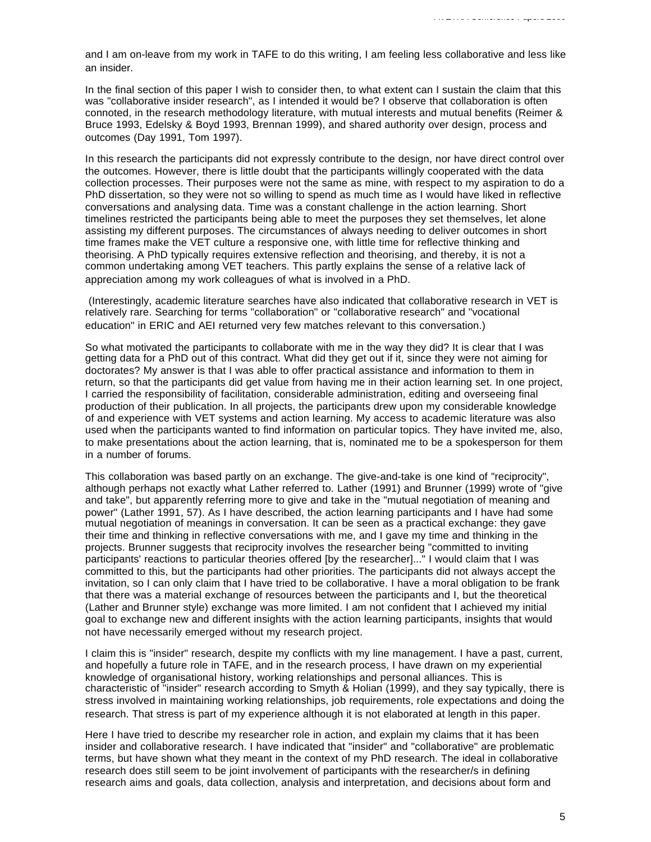and I am on-leave from my work in TAFE to do this writing, I am feeling less collaborative and less like an insider.

In the final section of this paper I wish to consider then, to what extent can I sustain the claim that this was "collaborative insider research", as I intended it would be? I observe that collaboration is often connoted, in the research methodology literature, with mutual interests and mutual benefits (Reimer & Bruce 1993, Edelsky & Boyd 1993, Brennan 1999), and shared authority over design, process and outcomes (Day 1991, Tom 1997).

In this research the participants did not expressly contribute to the design, nor have direct control over the outcomes. However, there is little doubt that the participants willingly cooperated with the data collection processes. Their purposes were not the same as mine, with respect to my aspiration to do a PhD dissertation, so they were not so willing to spend as much time as I would have liked in reflective conversations and analysing data. Time was a constant challenge in the action learning. Short timelines restricted the participants being able to meet the purposes they set themselves, let alone assisting my different purposes. The circumstances of always needing to deliver outcomes in short time frames make the VET culture a responsive one, with little time for reflective thinking and theorising. A PhD typically requires extensive reflection and theorising, and thereby, it is not a common undertaking among VET teachers. This partly explains the sense of a relative lack of appreciation among my work colleagues of what is involved in a PhD.

 (Interestingly, academic literature searches have also indicated that collaborative research in VET is relatively rare. Searching for terms "collaboration" or "collaborative research" and "vocational education" in ERIC and AEI returned very few matches relevant to this conversation.)

So what motivated the participants to collaborate with me in the way they did? It is clear that I was getting data for a PhD out of this contract. What did they get out if it, since they were not aiming for doctorates? My answer is that I was able to offer practical assistance and information to them in return, so that the participants did get value from having me in their action learning set. In one project, I carried the responsibility of facilitation, considerable administration, editing and overseeing final production of their publication. In all projects, the participants drew upon my considerable knowledge of and experience with VET systems and action learning. My access to academic literature was also used when the participants wanted to find information on particular topics. They have invited me, also, to make presentations about the action learning, that is, nominated me to be a spokesperson for them in a number of forums.

This collaboration was based partly on an exchange. The give-and-take is one kind of "reciprocity", although perhaps not exactly what Lather referred to. Lather (1991) and Brunner (1999) wrote of "give and take", but apparently referring more to give and take in the "mutual negotiation of meaning and power" (Lather 1991, 57). As I have described, the action learning participants and I have had some mutual negotiation of meanings in conversation. It can be seen as a practical exchange: they gave their time and thinking in reflective conversations with me, and I gave my time and thinking in the projects. Brunner suggests that reciprocity involves the researcher being "committed to inviting participants' reactions to particular theories offered [by the researcher]..." I would claim that I was committed to this, but the participants had other priorities. The participants did not always accept the invitation, so I can only claim that I have tried to be collaborative. I have a moral obligation to be frank that there was a material exchange of resources between the participants and I, but the theoretical (Lather and Brunner style) exchange was more limited. I am not confident that I achieved my initial goal to exchange new and different insights with the action learning participants, insights that would not have necessarily emerged without my research project.

I claim this is "insider" research, despite my conflicts with my line management. I have a past, current, and hopefully a future role in TAFE, and in the research process, I have drawn on my experiential knowledge of organisational history, working relationships and personal alliances. This is characteristic of "insider" research according to Smyth & Holian (1999), and they say typically, there is stress involved in maintaining working relationships, job requirements, role expectations and doing the research. That stress is part of my experience although it is not elaborated at length in this paper.

Here I have tried to describe my researcher role in action, and explain my claims that it has been insider and collaborative research. I have indicated that "insider" and "collaborative" are problematic terms, but have shown what they meant in the context of my PhD research. The ideal in collaborative research does still seem to be joint involvement of participants with the researcher/s in defining research aims and goals, data collection, analysis and interpretation, and decisions about form and